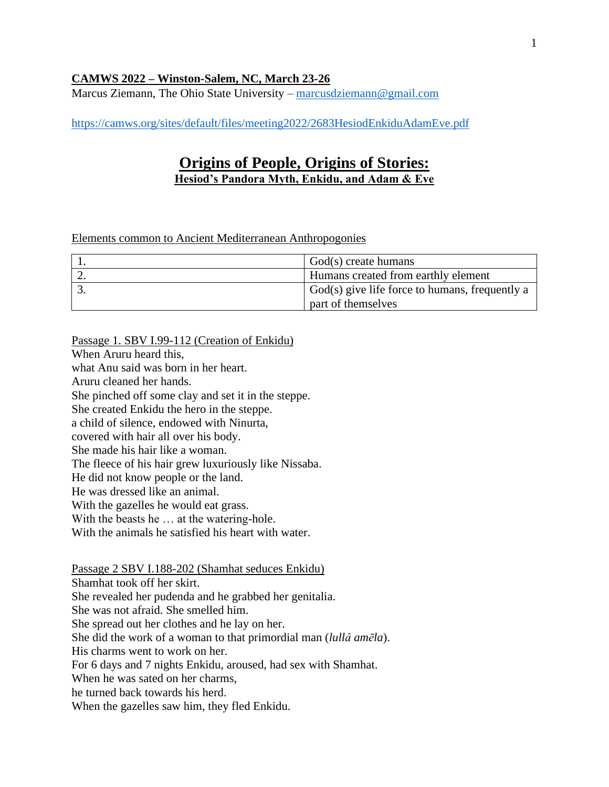### **CAMWS 2022 – Winston-Salem, NC, March 23-26**

Marcus Ziemann, The Ohio State University – [marcusdziemann@gmail.com](mailto:marcusdziemann@gmail.com)

<https://camws.org/sites/default/files/meeting2022/2683HesiodEnkiduAdamEve.pdf>

# **Origins of People, Origins of Stories: Hesiod's Pandora Myth, Enkidu, and Adam & Eve**

#### Elements common to Ancient Mediterranean Anthropogonies

| God(s) create humans                           |
|------------------------------------------------|
| Humans created from earthly element            |
| God(s) give life force to humans, frequently a |
| part of themselves                             |

Passage 1. SBV I.99-112 (Creation of Enkidu) When Aruru heard this, what Anu said was born in her heart. Aruru cleaned her hands. She pinched off some clay and set it in the steppe. She created Enkidu the hero in the steppe. a child of silence, endowed with Ninurta, covered with hair all over his body. She made his hair like a woman. The fleece of his hair grew luxuriously like Nissaba. He did not know people or the land. He was dressed like an animal. With the gazelles he would eat grass. With the beasts he ... at the watering-hole. With the animals he satisfied his heart with water. Passage 2 SBV I.188-202 (Shamhat seduces Enkidu) Shamhat took off her skirt.

She revealed her pudenda and he grabbed her genitalia. She was not afraid. She smelled him. She spread out her clothes and he lay on her. She did the work of a woman to that primordial man (*lullâ amēla*). His charms went to work on her. For 6 days and 7 nights Enkidu, aroused, had sex with Shamhat. When he was sated on her charms, he turned back towards his herd. When the gazelles saw him, they fled Enkidu.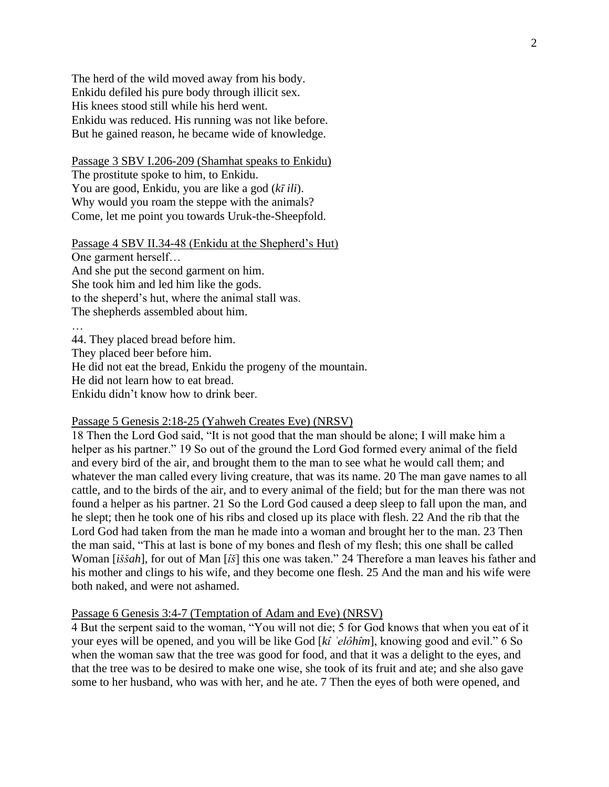The herd of the wild moved away from his body. Enkidu defiled his pure body through illicit sex. His knees stood still while his herd went. Enkidu was reduced. His running was not like before. But he gained reason, he became wide of knowledge.

Passage 3 SBV I.206-209 (Shamhat speaks to Enkidu) The prostitute spoke to him, to Enkidu. You are good, Enkidu, you are like a god (*kī ili*). Why would you roam the steppe with the animals? Come, let me point you towards Uruk-the-Sheepfold.

Passage 4 SBV II.34-48 (Enkidu at the Shepherd's Hut) One garment herself… And she put the second garment on him. She took him and led him like the gods. to the sheperd's hut, where the animal stall was. The shepherds assembled about him. …

44. They placed bread before him. They placed beer before him. He did not eat the bread, Enkidu the progeny of the mountain. He did not learn how to eat bread. Enkidu didn't know how to drink beer.

### Passage 5 Genesis 2:18-25 (Yahweh Creates Eve) (NRSV)

18 Then the Lord God said, "It is not good that the man should be alone; I will make him a helper as his partner." 19 So out of the ground the Lord God formed every animal of the field and every bird of the air, and brought them to the man to see what he would call them; and whatever the man called every living creature, that was its name. 20 The man gave names to all cattle, and to the birds of the air, and to every animal of the field; but for the man there was not found a helper as his partner. 21 So the Lord God caused a deep sleep to fall upon the man, and he slept; then he took one of his ribs and closed up its place with flesh. 22 And the rib that the Lord God had taken from the man he made into a woman and brought her to the man. 23 Then the man said, "This at last is bone of my bones and flesh of my flesh; this one shall be called Woman [*iššah*], for out of Man [*îš*] this one was taken." 24 Therefore a man leaves his father and his mother and clings to his wife, and they become one flesh. 25 And the man and his wife were both naked, and were not ashamed.

#### Passage 6 Genesis 3:4-7 (Temptation of Adam and Eve) (NRSV)

4 But the serpent said to the woman, "You will not die; 5 for God knows that when you eat of it your eyes will be opened, and you will be like God [*kî ʾelôhîm*], knowing good and evil." 6 So when the woman saw that the tree was good for food, and that it was a delight to the eyes, and that the tree was to be desired to make one wise, she took of its fruit and ate; and she also gave some to her husband, who was with her, and he ate. 7 Then the eyes of both were opened, and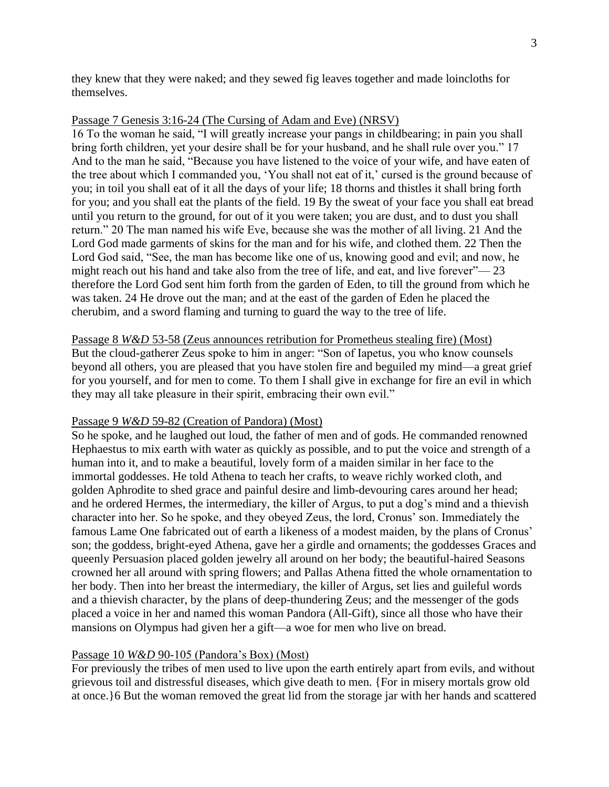they knew that they were naked; and they sewed fig leaves together and made loincloths for themselves.

### Passage 7 Genesis 3:16-24 (The Cursing of Adam and Eve) (NRSV)

16 To the woman he said, "I will greatly increase your pangs in childbearing; in pain you shall bring forth children, yet your desire shall be for your husband, and he shall rule over you." 17 And to the man he said, "Because you have listened to the voice of your wife, and have eaten of the tree about which I commanded you, 'You shall not eat of it,' cursed is the ground because of you; in toil you shall eat of it all the days of your life; 18 thorns and thistles it shall bring forth for you; and you shall eat the plants of the field. 19 By the sweat of your face you shall eat bread until you return to the ground, for out of it you were taken; you are dust, and to dust you shall return." 20 The man named his wife Eve, because she was the mother of all living. 21 And the Lord God made garments of skins for the man and for his wife, and clothed them. 22 Then the Lord God said, "See, the man has become like one of us, knowing good and evil; and now, he might reach out his hand and take also from the tree of life, and eat, and live forever"— 23 therefore the Lord God sent him forth from the garden of Eden, to till the ground from which he was taken. 24 He drove out the man; and at the east of the garden of Eden he placed the cherubim, and a sword flaming and turning to guard the way to the tree of life.

Passage 8 *W&D* 53-58 (Zeus announces retribution for Prometheus stealing fire) (Most) But the cloud-gatherer Zeus spoke to him in anger: "Son of Iapetus, you who know counsels beyond all others, you are pleased that you have stolen fire and beguiled my mind—a great grief for you yourself, and for men to come. To them I shall give in exchange for fire an evil in which they may all take pleasure in their spirit, embracing their own evil."

# Passage 9 *W&D* 59-82 (Creation of Pandora) (Most)

So he spoke, and he laughed out loud, the father of men and of gods. He commanded renowned Hephaestus to mix earth with water as quickly as possible, and to put the voice and strength of a human into it, and to make a beautiful, lovely form of a maiden similar in her face to the immortal goddesses. He told Athena to teach her crafts, to weave richly worked cloth, and golden Aphrodite to shed grace and painful desire and limb-devouring cares around her head; and he ordered Hermes, the intermediary, the killer of Argus, to put a dog's mind and a thievish character into her. So he spoke, and they obeyed Zeus, the lord, Cronus' son. Immediately the famous Lame One fabricated out of earth a likeness of a modest maiden, by the plans of Cronus' son; the goddess, bright-eyed Athena, gave her a girdle and ornaments; the goddesses Graces and queenly Persuasion placed golden jewelry all around on her body; the beautiful-haired Seasons crowned her all around with spring flowers; and Pallas Athena fitted the whole ornamentation to her body. Then into her breast the intermediary, the killer of Argus, set lies and guileful words and a thievish character, by the plans of deep-thundering Zeus; and the messenger of the gods placed a voice in her and named this woman Pandora (All-Gift), since all those who have their mansions on Olympus had given her a gift—a woe for men who live on bread.

# Passage 10 *W&D* 90-105 (Pandora's Box) (Most)

For previously the tribes of men used to live upon the earth entirely apart from evils, and without grievous toil and distressful diseases, which give death to men. {For in misery mortals grow old at once.}6 But the woman removed the great lid from the storage jar with her hands and scattered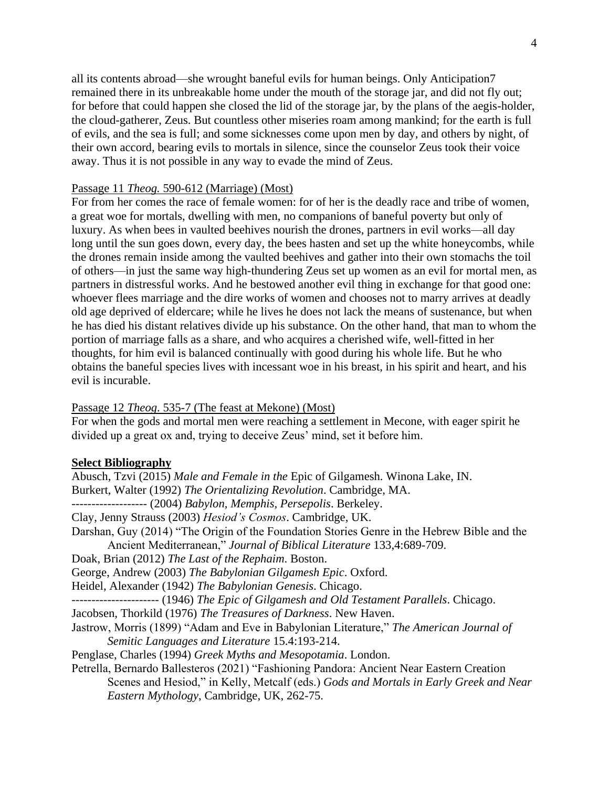all its contents abroad—she wrought baneful evils for human beings. Only Anticipation7 remained there in its unbreakable home under the mouth of the storage jar, and did not fly out; for before that could happen she closed the lid of the storage jar, by the plans of the aegis-holder, the cloud-gatherer, Zeus. But countless other miseries roam among mankind; for the earth is full of evils, and the sea is full; and some sicknesses come upon men by day, and others by night, of their own accord, bearing evils to mortals in silence, since the counselor Zeus took their voice away. Thus it is not possible in any way to evade the mind of Zeus.

#### Passage 11 *Theog.* 590-612 (Marriage) (Most)

For from her comes the race of female women: for of her is the deadly race and tribe of women, a great woe for mortals, dwelling with men, no companions of baneful poverty but only of luxury. As when bees in vaulted beehives nourish the drones, partners in evil works—all day long until the sun goes down, every day, the bees hasten and set up the white honeycombs, while the drones remain inside among the vaulted beehives and gather into their own stomachs the toil of others—in just the same way high-thundering Zeus set up women as an evil for mortal men, as partners in distressful works. And he bestowed another evil thing in exchange for that good one: whoever flees marriage and the dire works of women and chooses not to marry arrives at deadly old age deprived of eldercare; while he lives he does not lack the means of sustenance, but when he has died his distant relatives divide up his substance. On the other hand, that man to whom the portion of marriage falls as a share, and who acquires a cherished wife, well-fitted in her thoughts, for him evil is balanced continually with good during his whole life. But he who obtains the baneful species lives with incessant woe in his breast, in his spirit and heart, and his evil is incurable.

#### Passage 12 *Theog*. 535-7 (The feast at Mekone) (Most)

For when the gods and mortal men were reaching a settlement in Mecone, with eager spirit he divided up a great ox and, trying to deceive Zeus' mind, set it before him.

#### **Select Bibliography**

Abusch, Tzvi (2015) *Male and Female in the* Epic of Gilgamesh. Winona Lake, IN. Burkert, Walter (1992) *The Orientalizing Revolution*. Cambridge, MA. ------------------- (2004) *Babylon, Memphis, Persepolis*. Berkeley. Clay, Jenny Strauss (2003) *Hesiod's Cosmos*. Cambridge, UK. Darshan, Guy (2014) "The Origin of the Foundation Stories Genre in the Hebrew Bible and the Ancient Mediterranean," *Journal of Biblical Literature* 133,4:689-709. Doak, Brian (2012) *The Last of the Rephaim*. Boston. George, Andrew (2003) *The Babylonian Gilgamesh Epic*. Oxford. Heidel, Alexander (1942) *The Babylonian Genesis*. Chicago. ---------------------- (1946) *The Epic of Gilgamesh and Old Testament Parallels*. Chicago. Jacobsen, Thorkild (1976) *The Treasures of Darkness*. New Haven. Jastrow, Morris (1899) "Adam and Eve in Babylonian Literature," *The American Journal of Semitic Languages and Literature* 15.4:193-214. Penglase, Charles (1994) *Greek Myths and Mesopotamia*. London. Petrella, Bernardo Ballesteros (2021) "Fashioning Pandora: Ancient Near Eastern Creation Scenes and Hesiod," in Kelly, Metcalf (eds.) *Gods and Mortals in Early Greek and Near Eastern Mythology*, Cambridge, UK, 262-75.